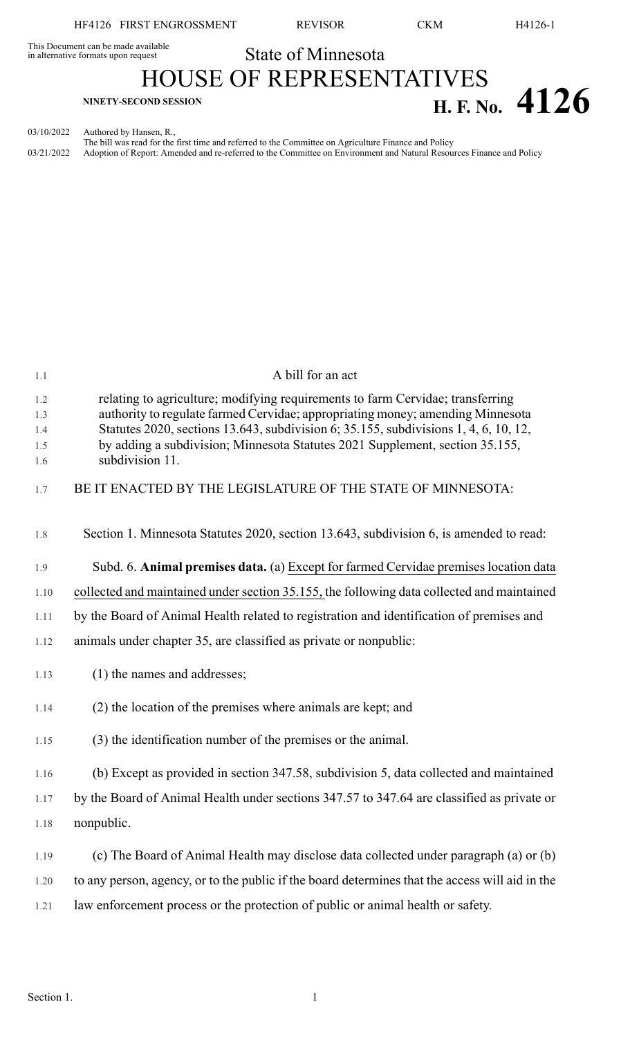HF4126 FIRST ENGROSSMENT REVISOR CKM H4126-1

# This Document can be made available<br>in alternative formats upon request **State of Minnesota** HOUSE OF REPRESENTATIVES **H. F. No.**  $4126$

03/10/2022 Authored by Hansen, R.,

The bill was read for the first time and referred to the Committee on Agriculture Finance and Policy 03/21/2022 Adoption of Report: Amended and re-referred to the Committee on Environment and Natural Resources Finance and Policy

| 1.1                             | A bill for an act                                                                                                                                                                                                                                                                                                                                           |
|---------------------------------|-------------------------------------------------------------------------------------------------------------------------------------------------------------------------------------------------------------------------------------------------------------------------------------------------------------------------------------------------------------|
| 1.2<br>1.3<br>1.4<br>1.5<br>1.6 | relating to agriculture; modifying requirements to farm Cervidae; transferring<br>authority to regulate farmed Cervidae; appropriating money; amending Minnesota<br>Statutes 2020, sections 13.643, subdivision 6; 35.155, subdivisions 1, 4, 6, 10, 12,<br>by adding a subdivision; Minnesota Statutes 2021 Supplement, section 35.155,<br>subdivision 11. |
| 1.7                             | BE IT ENACTED BY THE LEGISLATURE OF THE STATE OF MINNESOTA:                                                                                                                                                                                                                                                                                                 |
|                                 |                                                                                                                                                                                                                                                                                                                                                             |
| 1.8                             | Section 1. Minnesota Statutes 2020, section 13.643, subdivision 6, is amended to read:                                                                                                                                                                                                                                                                      |
| 1.9                             | Subd. 6. Animal premises data. (a) Except for farmed Cervidae premises location data                                                                                                                                                                                                                                                                        |
| 1.10                            | collected and maintained under section 35.155, the following data collected and maintained                                                                                                                                                                                                                                                                  |
| 1.11                            | by the Board of Animal Health related to registration and identification of premises and                                                                                                                                                                                                                                                                    |
| 1.12                            | animals under chapter 35, are classified as private or nonpublic:                                                                                                                                                                                                                                                                                           |
| 1.13                            | (1) the names and addresses;                                                                                                                                                                                                                                                                                                                                |
| 1.14                            | (2) the location of the premises where animals are kept; and                                                                                                                                                                                                                                                                                                |
| 1.15                            | (3) the identification number of the premises or the animal.                                                                                                                                                                                                                                                                                                |
| 1.16                            | (b) Except as provided in section 347.58, subdivision 5, data collected and maintained                                                                                                                                                                                                                                                                      |
| 1.17                            | by the Board of Animal Health under sections 347.57 to 347.64 are classified as private or                                                                                                                                                                                                                                                                  |
| 1.18                            | nonpublic.                                                                                                                                                                                                                                                                                                                                                  |
| 1.19                            | (c) The Board of Animal Health may disclose data collected under paragraph (a) or (b)                                                                                                                                                                                                                                                                       |
| 1.20                            | to any person, agency, or to the public if the board determines that the access will aid in the                                                                                                                                                                                                                                                             |
| 1.21                            | law enforcement process or the protection of public or animal health or safety.                                                                                                                                                                                                                                                                             |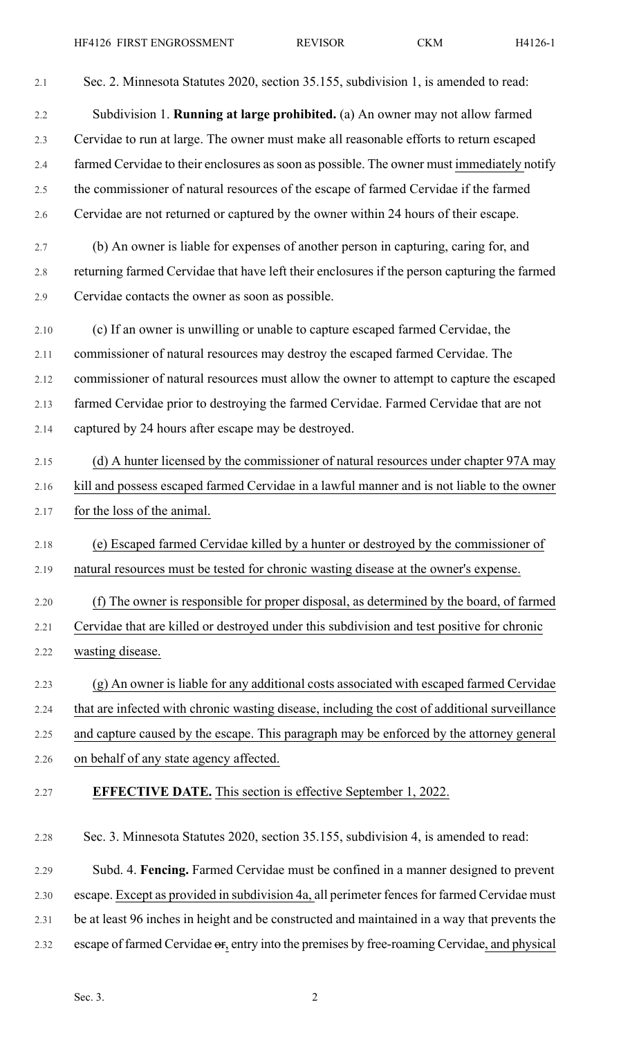2.1 Sec. 2. Minnesota Statutes 2020, section 35.155, subdivision 1, is amended to read: 2.2 Subdivision 1. **Running at large prohibited.** (a) An owner may not allow farmed 2.3 Cervidae to run at large. The owner must make all reasonable efforts to return escaped 2.4 farmed Cervidae to their enclosures as soon as possible. The owner must immediately notify 2.5 the commissioner of natural resources of the escape of farmed Cervidae if the farmed 2.6 Cervidae are not returned or captured by the owner within 24 hours of their escape. 2.7 (b) An owner is liable for expenses of another person in capturing, caring for, and 2.8 returning farmed Cervidae that have left their enclosures if the person capturing the farmed 2.9 Cervidae contacts the owner as soon as possible. 2.10 (c) If an owner is unwilling or unable to capture escaped farmed Cervidae, the 2.11 commissioner of natural resources may destroy the escaped farmed Cervidae. The 2.12 commissioner of natural resources must allow the owner to attempt to capture the escaped 2.13 farmed Cervidae prior to destroying the farmed Cervidae. Farmed Cervidae that are not 2.14 captured by 24 hours after escape may be destroyed. 2.15 (d) A hunter licensed by the commissioner of natural resources under chapter 97A may 2.16 kill and possess escaped farmed Cervidae in a lawful manner and is not liable to the owner 2.17 for the loss of the animal. 2.18 (e) Escaped farmed Cervidae killed by a hunter or destroyed by the commissioner of 2.19 natural resources must be tested for chronic wasting disease at the owner's expense. 2.20 (f) The owner is responsible for proper disposal, as determined by the board, of farmed 2.21 Cervidae that are killed or destroyed under this subdivision and test positive for chronic 2.22 wasting disease. 2.23 (g) An owner is liable for any additional costs associated with escaped farmed Cervidae 2.24 that are infected with chronic wasting disease, including the cost of additional surveillance 2.25 and capture caused by the escape. This paragraph may be enforced by the attorney general 2.26 on behalf of any state agency affected. 2.27 **EFFECTIVE DATE.** This section is effective September 1, 2022. 2.28 Sec. 3. Minnesota Statutes 2020, section 35.155, subdivision 4, is amended to read:

2.29 Subd. 4. **Fencing.** Farmed Cervidae must be confined in a manner designed to prevent 2.30 escape. Except as provided in subdivision 4a, all perimeter fences for farmed Cervidae must 2.31 be at least 96 inches in height and be constructed and maintained in a way that prevents the 2.32 escape of farmed Cervidae  $\Theta$ , entry into the premises by free-roaming Cervidae, and physical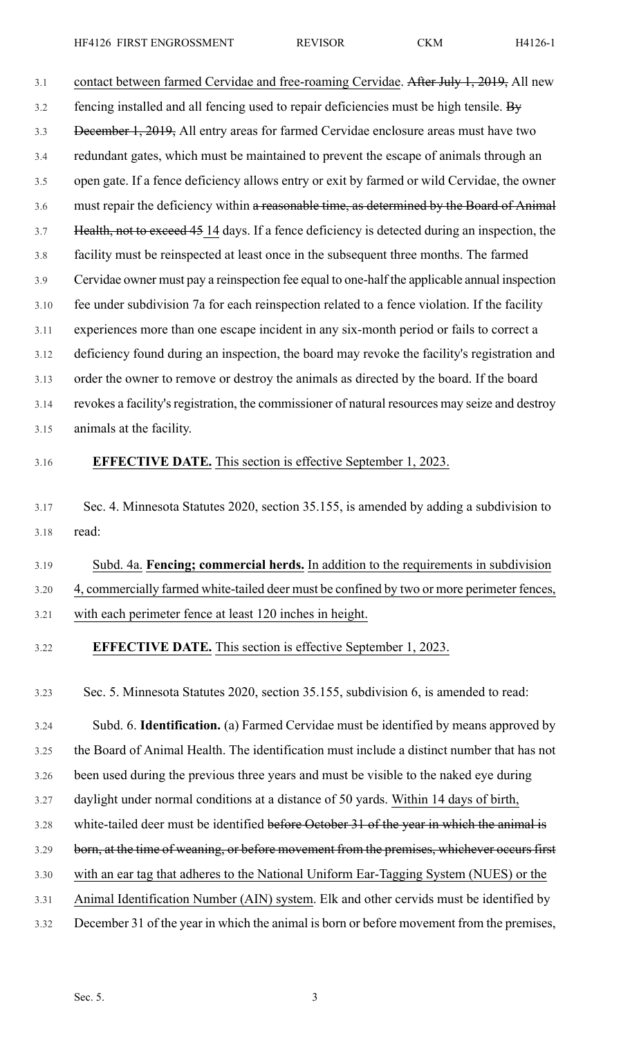3.1 contact between farmed Cervidae and free-roaming Cervidae. After July 1, 2019, All new 3.2 fencing installed and all fencing used to repair deficiencies must be high tensile. By 3.3 December 1, 2019, All entry areas for farmed Cervidae enclosure areas must have two 3.4 redundant gates, which must be maintained to prevent the escape of animals through an 3.5 open gate. If a fence deficiency allows entry or exit by farmed or wild Cervidae, the owner 3.6 must repair the deficiency within a reasonable time, as determined by the Board of Animal 3.7 Health, not to exceed 45 14 days. If a fence deficiency is detected during an inspection, the 3.8 facility must be reinspected at least once in the subsequent three months. The farmed 3.9 Cervidae owner must pay a reinspection fee equal to one-half the applicable annual inspection 3.10 fee under subdivision 7a for each reinspection related to a fence violation. If the facility 3.11 experiences more than one escape incident in any six-month period or fails to correct a 3.12 deficiency found during an inspection, the board may revoke the facility's registration and 3.13 order the owner to remove or destroy the animals as directed by the board. If the board 3.14 revokes a facility's registration, the commissioner of natural resources may seize and destroy 3.15 animals at the facility.

### 3.16 **EFFECTIVE DATE.** This section is effective September 1, 2023.

- 3.17 Sec. 4. Minnesota Statutes 2020, section 35.155, is amended by adding a subdivision to 3.18 read:
- 3.19 Subd. 4a. **Fencing; commercial herds.** In addition to the requirements in subdivision 3.20 4, commercially farmed white-tailed deer must be confined by two or more perimeter fences,
- 3.21 with each perimeter fence at least 120 inches in height.
- 3.22 **EFFECTIVE DATE.** This section is effective September 1, 2023.

3.23 Sec. 5. Minnesota Statutes 2020, section 35.155, subdivision 6, is amended to read:

3.24 Subd. 6. **Identification.** (a) Farmed Cervidae must be identified by means approved by

3.25 the Board of Animal Health. The identification must include a distinct number that has not

- 3.26 been used during the previous three years and must be visible to the naked eye during
- 3.27 daylight under normal conditions at a distance of 50 yards. Within 14 days of birth,
- 3.28 white-tailed deer must be identified before October 31 of the year in which the animal is
- 3.29 born, at the time of weaning, or before movement from the premises, whichever occurs first
- 3.30 with an ear tag that adheres to the National Uniform Ear-Tagging System (NUES) or the
- 3.31 Animal Identification Number (AIN) system. Elk and other cervids must be identified by
- 3.32 December 31 of the year in which the animal is born or before movement from the premises,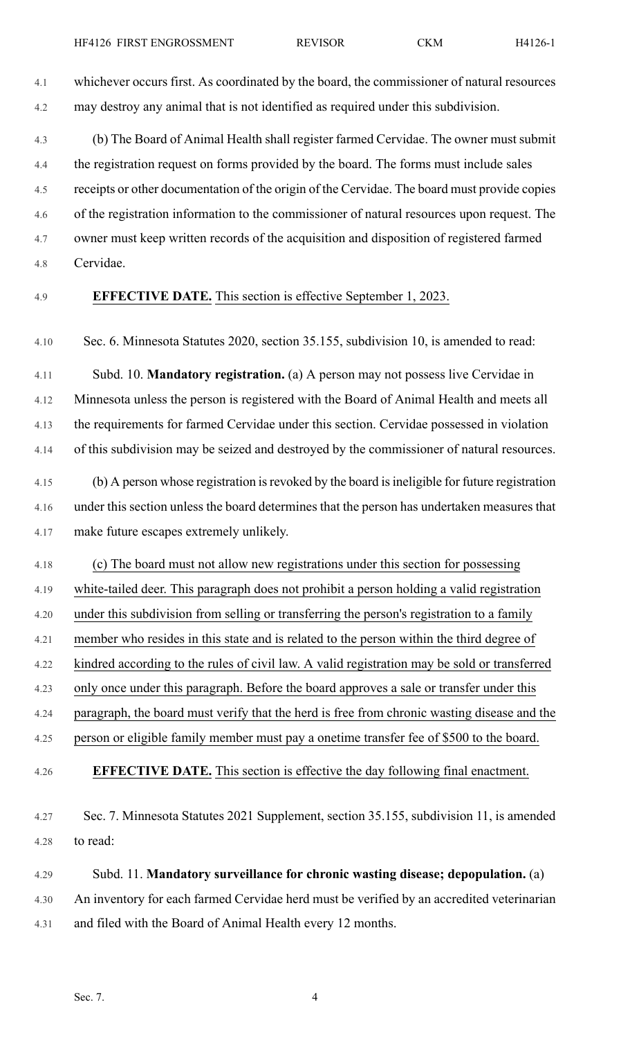4.1 whichever occurs first. As coordinated by the board, the commissioner of natural resources 4.2 may destroy any animal that is not identified as required under this subdivision.

4.3 (b) The Board of Animal Health shall register farmed Cervidae. The owner must submit 4.4 the registration request on forms provided by the board. The forms must include sales 4.5 receipts or other documentation of the origin of the Cervidae. The board must provide copies 4.6 of the registration information to the commissioner of natural resources upon request. The 4.7 owner must keep written records of the acquisition and disposition of registered farmed 4.8 Cervidae.

### 4.9 **EFFECTIVE DATE.** This section is effective September 1, 2023.

4.10 Sec. 6. Minnesota Statutes 2020, section 35.155, subdivision 10, is amended to read:

4.11 Subd. 10. **Mandatory registration.** (a) A person may not possess live Cervidae in 4.12 Minnesota unless the person is registered with the Board of Animal Health and meets all 4.13 the requirements for farmed Cervidae under this section. Cervidae possessed in violation 4.14 of this subdivision may be seized and destroyed by the commissioner of natural resources.

4.15 (b) A person whose registration isrevoked by the board isineligible for future registration 4.16 under this section unless the board determines that the person has undertaken measures that 4.17 make future escapes extremely unlikely.

4.18 (c) The board must not allow new registrations under this section for possessing

4.19 white-tailed deer. This paragraph does not prohibit a person holding a valid registration

4.20 under this subdivision from selling or transferring the person's registration to a family

4.21 member who resides in this state and is related to the person within the third degree of

4.22 kindred according to the rules of civil law. A valid registration may be sold or transferred

4.23 only once under this paragraph. Before the board approves a sale or transfer under this

4.24 paragraph, the board must verify that the herd is free from chronic wasting disease and the

4.25 person or eligible family member must pay a onetime transfer fee of \$500 to the board.

4.26 **EFFECTIVE DATE.** This section is effective the day following final enactment.

4.27 Sec. 7. Minnesota Statutes 2021 Supplement, section 35.155, subdivision 11, is amended 4.28 to read:

4.29 Subd. 11. **Mandatory surveillance for chronic wasting disease; depopulation.** (a) 4.30 An inventory for each farmed Cervidae herd must be verified by an accredited veterinarian 4.31 and filed with the Board of Animal Health every 12 months.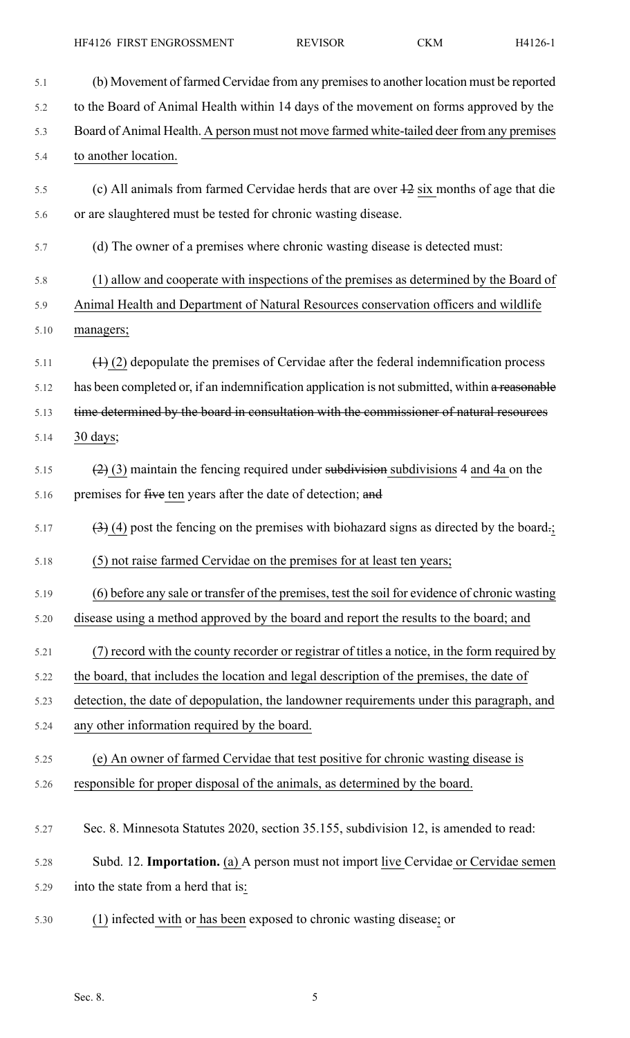| 5.1  | (b) Movement of farmed Cervidae from any premises to another location must be reported             |
|------|----------------------------------------------------------------------------------------------------|
| 5.2  | to the Board of Animal Health within 14 days of the movement on forms approved by the              |
| 5.3  | Board of Animal Health. A person must not move farmed white-tailed deer from any premises          |
| 5.4  | to another location.                                                                               |
| 5.5  | (c) All animals from farmed Cervidae herds that are over $\frac{12}{2}$ six months of age that die |
| 5.6  | or are slaughtered must be tested for chronic wasting disease.                                     |
| 5.7  | (d) The owner of a premises where chronic wasting disease is detected must:                        |
| 5.8  | (1) allow and cooperate with inspections of the premises as determined by the Board of             |
| 5.9  | Animal Health and Department of Natural Resources conservation officers and wildlife               |
| 5.10 | managers;                                                                                          |
| 5.11 | $(1)$ (2) depopulate the premises of Cervidae after the federal indemnification process            |
| 5.12 | has been completed or, if an indemnification application is not submitted, within a reasonable     |
| 5.13 | time determined by the board in consultation with the commissioner of natural resources            |
| 5.14 | 30 days;                                                                                           |
| 5.15 | $(2)$ (3) maintain the fencing required under subdivisions a and 4 a on the                        |
| 5.16 | premises for five ten years after the date of detection; and                                       |
| 5.17 | $(3)$ (4) post the fencing on the premises with biohazard signs as directed by the board.;         |
| 5.18 | (5) not raise farmed Cervidae on the premises for at least ten years;                              |
| 5.19 | (6) before any sale or transfer of the premises, test the soil for evidence of chronic wasting     |
| 5.20 | disease using a method approved by the board and report the results to the board; and              |
| 5.21 | (7) record with the county recorder or registrar of titles a notice, in the form required by       |
| 5.22 | the board, that includes the location and legal description of the premises, the date of           |
| 5.23 | detection, the date of depopulation, the landowner requirements under this paragraph, and          |
| 5.24 | any other information required by the board.                                                       |
| 5.25 | (e) An owner of farmed Cervidae that test positive for chronic wasting disease is                  |
| 5.26 | responsible for proper disposal of the animals, as determined by the board.                        |
| 5.27 | Sec. 8. Minnesota Statutes 2020, section 35.155, subdivision 12, is amended to read:               |
| 5.28 | Subd. 12. Importation. (a) A person must not import live Cervidae or Cervidae semen                |
| 5.29 | into the state from a herd that is:                                                                |
| 5.30 | (1) infected with or has been exposed to chronic wasting disease; or                               |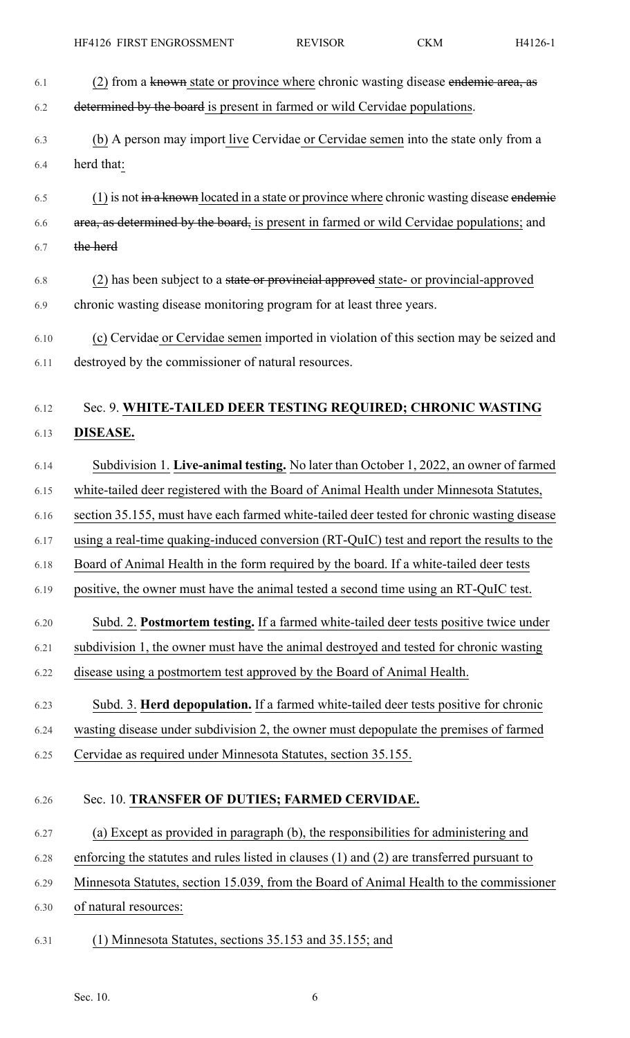| 6.1  | (2) from a known state or province where chronic wasting disease endemic area, as             |
|------|-----------------------------------------------------------------------------------------------|
| 6.2  | determined by the board is present in farmed or wild Cervidae populations.                    |
| 6.3  | (b) A person may import live Cervidae or Cervidae semen into the state only from a            |
| 6.4  | herd that:                                                                                    |
| 6.5  | $(1)$ is not in a known located in a state or province where chronic wasting disease endemies |
| 6.6  | area, as determined by the board, is present in farmed or wild Cervidae populations; and      |
| 6.7  | the herd                                                                                      |
| 6.8  | (2) has been subject to a state or provincial approved state- or provincial-approved          |
| 6.9  | chronic wasting disease monitoring program for at least three years.                          |
| 6.10 | (c) Cervidae or Cervidae semen imported in violation of this section may be seized and        |
| 6.11 | destroyed by the commissioner of natural resources.                                           |
| 6.12 | Sec. 9. WHITE-TAILED DEER TESTING REQUIRED; CHRONIC WASTING                                   |
|      |                                                                                               |
| 6.13 | DISEASE.                                                                                      |
| 6.14 | Subdivision 1. Live-animal testing. No later than October 1, 2022, an owner of farmed         |
| 6.15 | white-tailed deer registered with the Board of Animal Health under Minnesota Statutes,        |
| 6.16 | section 35.155, must have each farmed white-tailed deer tested for chronic wasting disease    |
| 6.17 | using a real-time quaking-induced conversion (RT-QuIC) test and report the results to the     |
| 6.18 | Board of Animal Health in the form required by the board. If a white-tailed deer tests        |
| 6.19 | positive, the owner must have the animal tested a second time using an RT-QuIC test.          |
| 6.20 | Subd. 2. Postmortem testing. If a farmed white-tailed deer tests positive twice under         |
| 6.21 | subdivision 1, the owner must have the animal destroyed and tested for chronic wasting        |
| 6.22 | disease using a postmortem test approved by the Board of Animal Health.                       |
| 6.23 | Subd. 3. Herd depopulation. If a farmed white-tailed deer tests positive for chronic          |
| 6.24 | wasting disease under subdivision 2, the owner must depopulate the premises of farmed         |
| 6.25 | Cervidae as required under Minnesota Statutes, section 35.155.                                |
| 6.26 | Sec. 10. TRANSFER OF DUTIES; FARMED CERVIDAE.                                                 |
|      |                                                                                               |
| 6.27 | (a) Except as provided in paragraph (b), the responsibilities for administering and           |
| 6.28 | enforcing the statutes and rules listed in clauses (1) and (2) are transferred pursuant to    |
| 6.29 | Minnesota Statutes, section 15.039, from the Board of Animal Health to the commissioner       |
| 6.30 | of natural resources:                                                                         |
| 6.31 | (1) Minnesota Statutes, sections 35.153 and 35.155; and                                       |